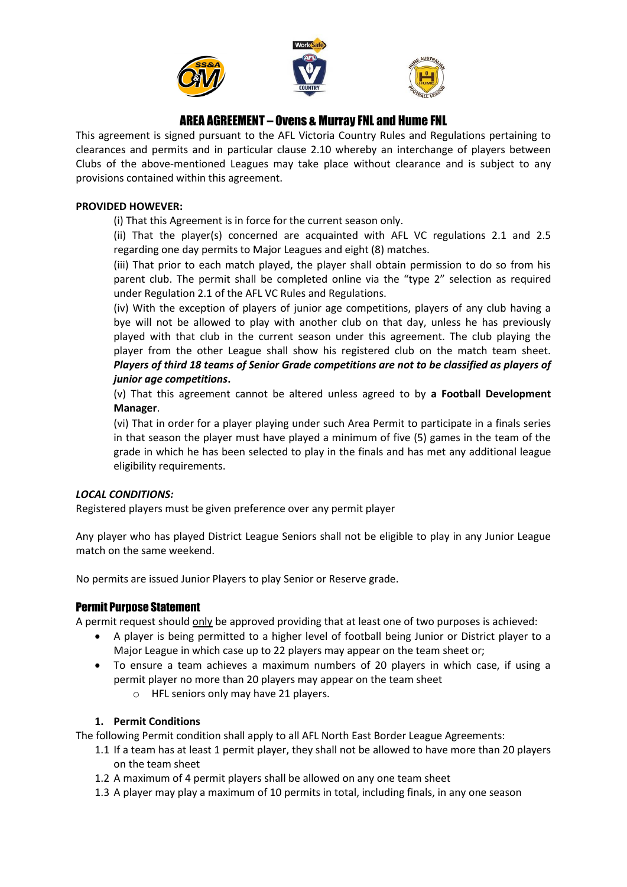

# AREA AGREEMENT – Ovens & Murray FNL and Hume FNL

This agreement is signed pursuant to the AFL Victoria Country Rules and Regulations pertaining to clearances and permits and in particular clause 2.10 whereby an interchange of players between Clubs of the above-mentioned Leagues may take place without clearance and is subject to any provisions contained within this agreement.

## **PROVIDED HOWEVER:**

(i) That this Agreement is in force for the current season only.

(ii) That the player(s) concerned are acquainted with AFL VC regulations 2.1 and 2.5 regarding one day permits to Major Leagues and eight (8) matches.

(iii) That prior to each match played, the player shall obtain permission to do so from his parent club. The permit shall be completed online via the "type 2" selection as required under Regulation 2.1 of the AFL VC Rules and Regulations.

(iv) With the exception of players of junior age competitions, players of any club having a bye will not be allowed to play with another club on that day, unless he has previously played with that club in the current season under this agreement. The club playing the player from the other League shall show his registered club on the match team sheet. *Players of third 18 teams of Senior Grade competitions are not to be classified as players of junior age competitions***.** 

(v) That this agreement cannot be altered unless agreed to by **a Football Development Manager**.

(vi) That in order for a player playing under such Area Permit to participate in a finals series in that season the player must have played a minimum of five (5) games in the team of the grade in which he has been selected to play in the finals and has met any additional league eligibility requirements.

# *LOCAL CONDITIONS:*

Registered players must be given preference over any permit player

Any player who has played District League Seniors shall not be eligible to play in any Junior League match on the same weekend.

No permits are issued Junior Players to play Senior or Reserve grade.

# Permit Purpose Statement

A permit request should only be approved providing that at least one of two purposes is achieved:

- A player is being permitted to a higher level of football being Junior or District player to a Major League in which case up to 22 players may appear on the team sheet or;
- To ensure a team achieves a maximum numbers of 20 players in which case, if using a permit player no more than 20 players may appear on the team sheet
	- o HFL seniors only may have 21 players.

### **1. Permit Conditions**

The following Permit condition shall apply to all AFL North East Border League Agreements:

- 1.1 If a team has at least 1 permit player, they shall not be allowed to have more than 20 players on the team sheet
- 1.2 A maximum of 4 permit players shall be allowed on any one team sheet
- 1.3 A player may play a maximum of 10 permits in total, including finals, in any one season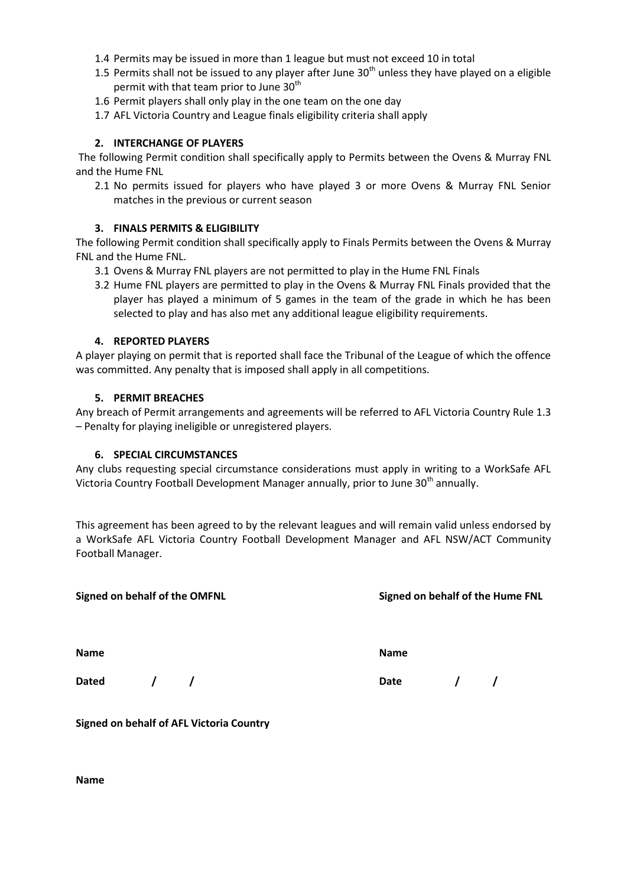- 1.4 Permits may be issued in more than 1 league but must not exceed 10 in total
- 1.5 Permits shall not be issued to any player after June  $30<sup>th</sup>$  unless they have played on a eligible permit with that team prior to June  $30<sup>th</sup>$
- 1.6 Permit players shall only play in the one team on the one day
- 1.7 AFL Victoria Country and League finals eligibility criteria shall apply

### **2. INTERCHANGE OF PLAYERS**

The following Permit condition shall specifically apply to Permits between the Ovens & Murray FNL and the Hume FNL

2.1 No permits issued for players who have played 3 or more Ovens & Murray FNL Senior matches in the previous or current season

### **3. FINALS PERMITS & ELIGIBILITY**

The following Permit condition shall specifically apply to Finals Permits between the Ovens & Murray FNL and the Hume FNL.

- 3.1 Ovens & Murray FNL players are not permitted to play in the Hume FNL Finals
- 3.2 Hume FNL players are permitted to play in the Ovens & Murray FNL Finals provided that the player has played a minimum of 5 games in the team of the grade in which he has been selected to play and has also met any additional league eligibility requirements.

#### **4. REPORTED PLAYERS**

A player playing on permit that is reported shall face the Tribunal of the League of which the offence was committed. Any penalty that is imposed shall apply in all competitions.

#### **5. PERMIT BREACHES**

Any breach of Permit arrangements and agreements will be referred to AFL Victoria Country Rule 1.3 – Penalty for playing ineligible or unregistered players.

### **6. SPECIAL CIRCUMSTANCES**

Any clubs requesting special circumstance considerations must apply in writing to a WorkSafe AFL Victoria Country Football Development Manager annually, prior to June 30<sup>th</sup> annually.

This agreement has been agreed to by the relevant leagues and will remain valid unless endorsed by a WorkSafe AFL Victoria Country Football Development Manager and AFL NSW/ACT Community Football Manager.

| Signed on behalf of the OMFNL |            |             | Signed on behalf of the Hume FNL |  |  |  |
|-------------------------------|------------|-------------|----------------------------------|--|--|--|
| <b>Name</b>                   |            | <b>Name</b> |                                  |  |  |  |
| <b>Dated</b>                  | $\sqrt{1}$ | Date        | $\sqrt{1}$                       |  |  |  |

**Signed on behalf of AFL Victoria Country**

**Name**